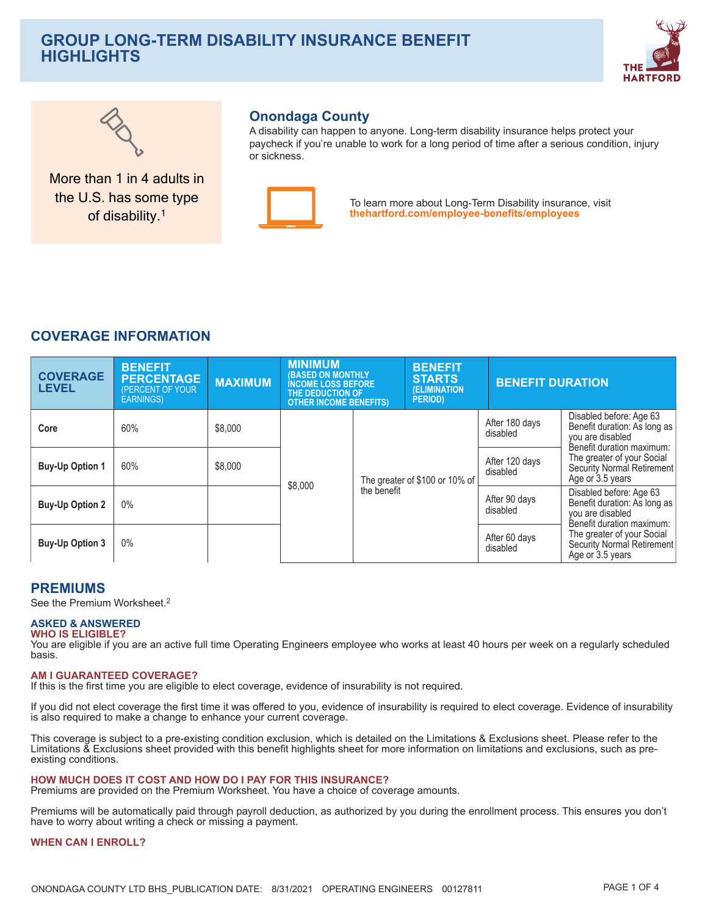# **GROUP LONG-TERM DISABILITY INSURANCE BENEFIT HIGHLIGHTS**





More than 1 in 4 adults in the U.S. has some type of disability.<sup>1</sup>

## **Onondaga County**

A disability can happen to anyone. Long-term disability insurance helps protect your paycheck if you're unable to work for a long period of time after a serious condition, injury or sickness



To learn more about Long-Term Disability insurance, visit thehartford.com/employee-benefits/employees

# **COVERAGE INFORMATION**

| <b>COVERAGE</b><br><b>LEVEL</b> | <b>BENEFIT</b><br><b>PERCENTAGE</b><br>(PERCENT OF YOUR<br><b>EARNINGS)</b> | <b>MAXIMUM</b> | <b>MINIMUM</b><br><b>(BASED ON MONTHLY</b><br><b>INCOME LOSS BEFORE</b><br>THE DEDUCTION OF<br><b>OTHER INCOME BENEFITS)</b> |             | <b>BENEFIT</b><br><b>STARTS</b><br><b>(ELIMINATION)</b><br><b>PERIOD</b> ) | <b>BENEFIT DURATION</b>    |                                                                                                          |
|---------------------------------|-----------------------------------------------------------------------------|----------------|------------------------------------------------------------------------------------------------------------------------------|-------------|----------------------------------------------------------------------------|----------------------------|----------------------------------------------------------------------------------------------------------|
| Core                            | 60%                                                                         | \$8,000        |                                                                                                                              |             |                                                                            | After 180 days<br>disabled | Disabled before: Age 63<br>Benefit duration: As long as<br>you are disabled<br>Benefit duration maximum: |
| <b>Buy-Up Option 1</b>          | 60%                                                                         | \$8,000        | \$8,000                                                                                                                      |             | The greater of \$100 or 10% of                                             | After 120 days<br>disabled | The greater of your Social<br><b>Security Normal Retirement</b><br>Age or 3.5 years                      |
| <b>Buy-Up Option 2</b>          | 0%                                                                          |                |                                                                                                                              | the benefit |                                                                            | After 90 days<br>disabled  | Disabled before: Age 63<br>Benefit duration: As long as<br>you are disabled<br>Benefit duration maximum: |
| <b>Buy-Up Option 3</b>          | 0%                                                                          |                |                                                                                                                              |             |                                                                            | After 60 days<br>disabled  | The greater of your Social<br>Security Normal Retirement<br>Age or 3.5 years                             |

## **PREMIUMS**

See the Premium Worksheet.<sup>2</sup>

#### **ASKED & ANSWERED WHO IS ELIGIBLE?**

You are eligible if you are an active full time Operating Engineers employee who works at least 40 hours per week on a regularly scheduled basis.

#### **AM I GUARANTEED COVERAGE?**

If this is the first time you are eligible to elect coverage, evidence of insurability is not required.

If you did not elect coverage the first time it was offered to you, evidence of insurability is required to elect coverage. Evidence of insurability is also required to make a change to enhance your current coverage.

This coverage is subject to a pre-existing condition exclusion, which is detailed on the Limitations & Exclusions sheet. Please refer to the Limitations & Exclusions sheet provided with this benefit highlights sheet for more information on limitations and exclusions, such as preexisting conditions.

#### HOW MUCH DOES IT COST AND HOW DO I PAY FOR THIS INSURANCE?

Premiums are provided on the Premium Worksheet. You have a choice of coverage amounts.

Premiums will be automatically paid through payroll deduction, as authorized by you during the enrollment process. This ensures you don't have to worry about writing a check or missing a payment.

#### **WHEN CAN I ENROLL?**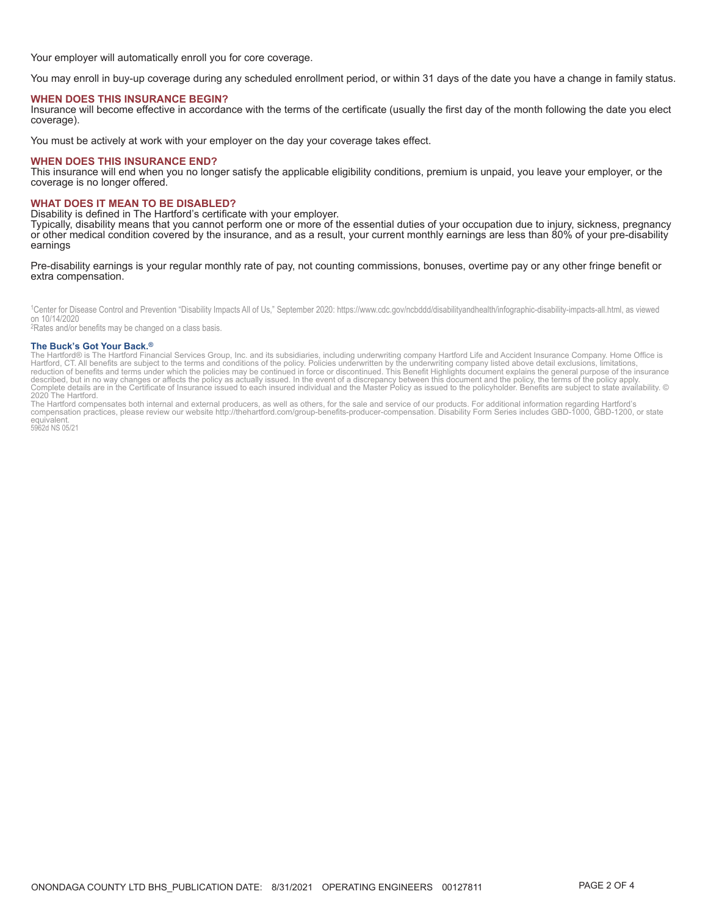Your employer will automatically enroll you for core coverage.

You may enroll in buy-up coverage during any scheduled enrollment period, or within 31 days of the date you have a change in family status.

#### **WHEN DOES THIS INSURANCE BEGIN?**

Insurance will become effective in accordance with the terms of the certificate (usually the first day of the month following the date you elect coverage).

You must be actively at work with your employer on the day your coverage takes effect.

#### **WHEN DOES THIS INSURANCE END?**

This insurance will end when you no longer satisfy the applicable eligibility conditions, premium is unpaid, you leave your employer, or the coverage is no longer offered.

#### **WHAT DOES IT MEAN TO BE DISABLED?**

Disability is defined in The Hartford's certificate with your employer.

Typically, disability means that you cannot perform one or more of the essential duties of your occupation due to injury, sickness, pregnancy or other medical condition covered by the insurance, and as a result, your current monthly earnings are less than 80% of your pre-disability earnings

#### Pre-disability earnings is your regular monthly rate of pay, not counting commissions, bonuses, overtime pay or any other fringe benefit or extra compensation.

<sup>1</sup>Center for Disease Control and Prevention "Disability Impacts All of Us," September 2020: https://www.cdc.gov/ncbddd/disabilityandhealth/infographic-disability-impacts-all.html, as viewed on 10/14/2020

<sup>2</sup>Rates and/or benefits may be changed on a class basis.

#### The Buck's Got Your Back.<sup>®</sup>

The BUCK'S GOT YOUT BACK."<br>The Hartford Life and Accident Insurance Company. Home Office is<br>Hartford, CT. All benefits are subject to the terms and conditions of the policy. Policies underwritten by the underwriting compan

2020 The Hartford.<br>The Hartford compensates both internal and external producers, as well as others, for the sale and service of our products. For additional information regarding Hartford's<br>Compensation practices, please equivalent.<br>5962d NS 05/21